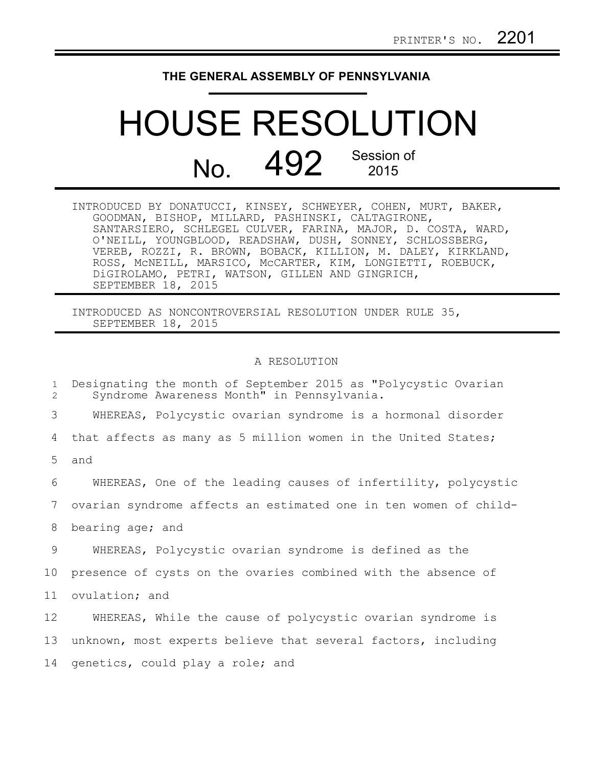## **THE GENERAL ASSEMBLY OF PENNSYLVANIA**

## HOUSE RESOLUTION No. 492 Session of

INTRODUCED BY DONATUCCI, KINSEY, SCHWEYER, COHEN, MURT, BAKER, GOODMAN, BISHOP, MILLARD, PASHINSKI, CALTAGIRONE, SANTARSIERO, SCHLEGEL CULVER, FARINA, MAJOR, D. COSTA, WARD, O'NEILL, YOUNGBLOOD, READSHAW, DUSH, SONNEY, SCHLOSSBERG, VEREB, ROZZI, R. BROWN, BOBACK, KILLION, M. DALEY, KIRKLAND, ROSS, McNEILL, MARSICO, McCARTER, KIM, LONGIETTI, ROEBUCK, DiGIROLAMO, PETRI, WATSON, GILLEN AND GINGRICH, SEPTEMBER 18, 2015

INTRODUCED AS NONCONTROVERSIAL RESOLUTION UNDER RULE 35, SEPTEMBER 18, 2015

## A RESOLUTION

| $\mathbf{1}$<br>2 | Designating the month of September 2015 as "Polycystic Ovarian<br>Syndrome Awareness Month" in Pennsylvania. |
|-------------------|--------------------------------------------------------------------------------------------------------------|
| 3                 | WHEREAS, Polycystic ovarian syndrome is a hormonal disorder                                                  |
| 4                 | that affects as many as 5 million women in the United States;                                                |
| 5                 | and                                                                                                          |
| 6                 | WHEREAS, One of the leading causes of infertility, polycystic                                                |
| 7                 | ovarian syndrome affects an estimated one in ten women of child-                                             |
| 8                 | bearing age; and                                                                                             |
| 9                 | WHEREAS, Polycystic ovarian syndrome is defined as the                                                       |
| 10                | presence of cysts on the ovaries combined with the absence of                                                |
| 11                | ovulation; and                                                                                               |
| 12                | WHEREAS, While the cause of polycystic ovarian syndrome is                                                   |
| 13                | unknown, most experts believe that several factors, including                                                |
| 14                | genetics, could play a role; and                                                                             |